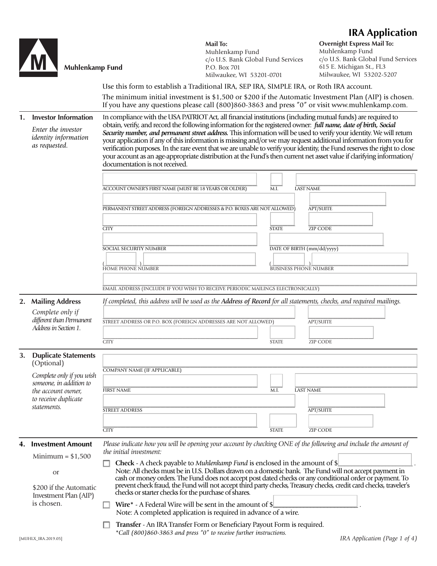## **IRA Application**

|    | <b>Muhlenkamp Fund</b>                                                                            | Use this form to establish a Traditional IRA, SEP IRA, SIMPLE IRA, or Roth IRA account.                                                                                                                                                                                                                                                                                                                                                                                                                                                                                                                                                                                                                                                                            | Mail To:<br>Muhlenkamp Fund<br>c/o U.S. Bank Global Fund Services<br>P.O. Box 701<br>Milwaukee, WI 53201-0701 |                              | <b>Overnight Express Mail To:</b><br>Muhlenkamp Fund<br>c/o U.S. Bank Global Fund Services<br>615 E. Michigan St., FL3<br>Milwaukee, WI 53202-5207 |  |
|----|---------------------------------------------------------------------------------------------------|--------------------------------------------------------------------------------------------------------------------------------------------------------------------------------------------------------------------------------------------------------------------------------------------------------------------------------------------------------------------------------------------------------------------------------------------------------------------------------------------------------------------------------------------------------------------------------------------------------------------------------------------------------------------------------------------------------------------------------------------------------------------|---------------------------------------------------------------------------------------------------------------|------------------------------|----------------------------------------------------------------------------------------------------------------------------------------------------|--|
|    |                                                                                                   | The minimum initial investment is $$1,500$ or $$200$ if the Automatic Investment Plan (AIP) is chosen.<br>If you have any questions please call (800)860-3863 and press "0" or visit www.muhlenkamp.com.                                                                                                                                                                                                                                                                                                                                                                                                                                                                                                                                                           |                                                                                                               |                              |                                                                                                                                                    |  |
| 1. | <b>Investor Information</b><br>Enter the investor<br><i>identity</i> information<br>as requested. | In compliance with the USA PATRIOT Act, all financial institutions (including mutual funds) are required to<br>obtain, verify, and record the following information for the registered owner: full name, date of birth, Social<br>Security number, and permanent street address. This information will be used to verify your identity. We will return<br>your application if any of this information is missing and/or we may request additional information from you for<br>verification purposes. In the rare event that we are unable to verify your identity, the Fund reserves the right to close<br>your account as an age-appropriate distribution at the Fund's then current net asset value if clarifying information/<br>documentation is not received. |                                                                                                               |                              |                                                                                                                                                    |  |
|    |                                                                                                   |                                                                                                                                                                                                                                                                                                                                                                                                                                                                                                                                                                                                                                                                                                                                                                    |                                                                                                               |                              |                                                                                                                                                    |  |
|    |                                                                                                   | ACCOUNT OWNER'S FIRST NAME (MUST BE 18 YEARS OR OLDER)                                                                                                                                                                                                                                                                                                                                                                                                                                                                                                                                                                                                                                                                                                             |                                                                                                               | M.I.<br><b>LAST NAME</b>     |                                                                                                                                                    |  |
|    |                                                                                                   | PERMANENT STREET ADDRESS (FOREIGN ADDRESSES & P.O. BOXES ARE NOT ALLOWED)                                                                                                                                                                                                                                                                                                                                                                                                                                                                                                                                                                                                                                                                                          |                                                                                                               |                              | <b>APT/SUITE</b>                                                                                                                                   |  |
|    |                                                                                                   | <b>CITY</b>                                                                                                                                                                                                                                                                                                                                                                                                                                                                                                                                                                                                                                                                                                                                                        |                                                                                                               | <b>STATE</b>                 | <b>ZIP CODE</b>                                                                                                                                    |  |
|    |                                                                                                   | SOCIAL SECURITY NUMBER                                                                                                                                                                                                                                                                                                                                                                                                                                                                                                                                                                                                                                                                                                                                             |                                                                                                               | DATE OF BIRTH (mm/dd/yyyy)   |                                                                                                                                                    |  |
|    |                                                                                                   | HOME PHONE NUMBER                                                                                                                                                                                                                                                                                                                                                                                                                                                                                                                                                                                                                                                                                                                                                  |                                                                                                               | <b>BUSINESS PHONE NUMBER</b> |                                                                                                                                                    |  |
|    |                                                                                                   |                                                                                                                                                                                                                                                                                                                                                                                                                                                                                                                                                                                                                                                                                                                                                                    |                                                                                                               |                              |                                                                                                                                                    |  |
|    |                                                                                                   | EMAIL ADDRESS (INCLUDE IF YOU WISH TO RECEIVE PERIODIC MAILINGS ELECTRONICALLY)<br>If completed, this address will be used as the Address of Record for all statements, checks, and required mailings.                                                                                                                                                                                                                                                                                                                                                                                                                                                                                                                                                             |                                                                                                               |                              |                                                                                                                                                    |  |
|    | 2. Mailing Address<br>Complete only if<br>different than Permanent<br>Address in Section 1.       | STREET ADDRESS OR P.O. BOX (FOREIGN ADDRESSES ARE NOT ALLOWED)<br><b>CITY</b>                                                                                                                                                                                                                                                                                                                                                                                                                                                                                                                                                                                                                                                                                      |                                                                                                               | <b>STATE</b>                 | <b>APT/SUITE</b><br>ZIP CODE                                                                                                                       |  |
|    | 3. Duplicate Statements                                                                           |                                                                                                                                                                                                                                                                                                                                                                                                                                                                                                                                                                                                                                                                                                                                                                    |                                                                                                               |                              |                                                                                                                                                    |  |
|    | (Optional)                                                                                        | COMPANY NAME (IF APPLICABLE)                                                                                                                                                                                                                                                                                                                                                                                                                                                                                                                                                                                                                                                                                                                                       |                                                                                                               |                              |                                                                                                                                                    |  |
|    | Complete only if you wish<br>someone, in addition to                                              |                                                                                                                                                                                                                                                                                                                                                                                                                                                                                                                                                                                                                                                                                                                                                                    |                                                                                                               |                              |                                                                                                                                                    |  |
|    | the account owner,<br>to receive duplicate                                                        | <b>FIRST NAME</b>                                                                                                                                                                                                                                                                                                                                                                                                                                                                                                                                                                                                                                                                                                                                                  |                                                                                                               | M.I.<br><b>LAST NAME</b>     |                                                                                                                                                    |  |
|    | statements.                                                                                       | <b>STREET ADDRESS</b>                                                                                                                                                                                                                                                                                                                                                                                                                                                                                                                                                                                                                                                                                                                                              |                                                                                                               |                              | <b>APT/SUITE</b>                                                                                                                                   |  |
|    |                                                                                                   |                                                                                                                                                                                                                                                                                                                                                                                                                                                                                                                                                                                                                                                                                                                                                                    |                                                                                                               |                              |                                                                                                                                                    |  |
|    |                                                                                                   | <b>CITY</b>                                                                                                                                                                                                                                                                                                                                                                                                                                                                                                                                                                                                                                                                                                                                                        |                                                                                                               | <b>STATE</b>                 | <b>ZIP CODE</b>                                                                                                                                    |  |
| 4. | <b>Investment Amount</b>                                                                          | Please indicate how you will be opening your account by checking ONE of the following and include the amount of<br>the initial investment:<br>Check - A check payable to Muhlenkamp Fund is enclosed in the amount of \$                                                                                                                                                                                                                                                                                                                                                                                                                                                                                                                                           |                                                                                                               |                              |                                                                                                                                                    |  |
|    | Minimum = $$1,500$                                                                                |                                                                                                                                                                                                                                                                                                                                                                                                                                                                                                                                                                                                                                                                                                                                                                    |                                                                                                               |                              |                                                                                                                                                    |  |
|    | <b>or</b>                                                                                         |                                                                                                                                                                                                                                                                                                                                                                                                                                                                                                                                                                                                                                                                                                                                                                    |                                                                                                               |                              | Note: All checks must be in U.S. Dollars drawn on a domestic bank. The Fund will not accept payment in                                             |  |
|    | \$200 if the Automatic<br>Investment Plan (AIP)                                                   | cash or money orders. The Fund does not accept post dated checks or any conditional order or payment. To<br>prevent check fraud, the Fund will not accept third party checks, Treasury checks, credit card checks, traveler's<br>checks or starter checks for the purchase of shares.                                                                                                                                                                                                                                                                                                                                                                                                                                                                              |                                                                                                               |                              |                                                                                                                                                    |  |
|    | is chosen.                                                                                        | Wire* - A Federal Wire will be sent in the amount of \$<br>Note: A completed application is required in advance of a wire.                                                                                                                                                                                                                                                                                                                                                                                                                                                                                                                                                                                                                                         |                                                                                                               |                              |                                                                                                                                                    |  |
|    |                                                                                                   | Transfer - An IRA Transfer Form or Beneficiary Payout Form is required.<br>*Call (800)860-3863 and press "0" to receive further instructions.                                                                                                                                                                                                                                                                                                                                                                                                                                                                                                                                                                                                                      |                                                                                                               |                              |                                                                                                                                                    |  |
|    | [MUHLX_IRA.2019.05]                                                                               |                                                                                                                                                                                                                                                                                                                                                                                                                                                                                                                                                                                                                                                                                                                                                                    |                                                                                                               |                              | IRA Application (Page 1 of 4)                                                                                                                      |  |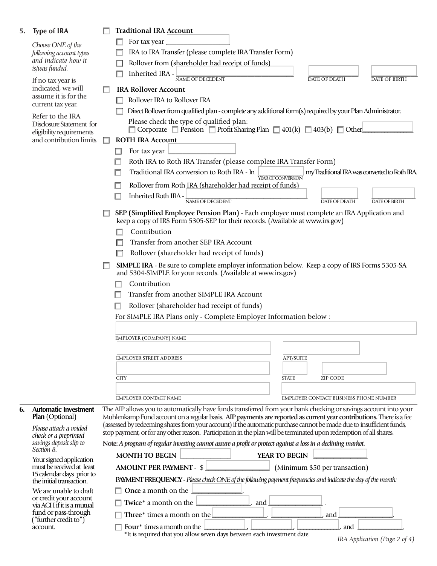| 5.                                                                                                                                                                                                                                                  | <b>Type of IRA</b>                                                                                                  |                                                                                                                                                                                  | <b>Traditional IRA Account</b>                                                                                                                                                                                                         |  |  |  |
|-----------------------------------------------------------------------------------------------------------------------------------------------------------------------------------------------------------------------------------------------------|---------------------------------------------------------------------------------------------------------------------|----------------------------------------------------------------------------------------------------------------------------------------------------------------------------------|----------------------------------------------------------------------------------------------------------------------------------------------------------------------------------------------------------------------------------------|--|--|--|
|                                                                                                                                                                                                                                                     | Choose ONE of the<br>following account types                                                                        |                                                                                                                                                                                  | For tax year                                                                                                                                                                                                                           |  |  |  |
|                                                                                                                                                                                                                                                     |                                                                                                                     |                                                                                                                                                                                  | IRA to IRA Transfer (please complete IRA Transfer Form)                                                                                                                                                                                |  |  |  |
|                                                                                                                                                                                                                                                     | and indicate how it                                                                                                 |                                                                                                                                                                                  | Rollover from (shareholder had receipt of funds)                                                                                                                                                                                       |  |  |  |
|                                                                                                                                                                                                                                                     | is/was funded.                                                                                                      |                                                                                                                                                                                  | Inherited IRA -<br>NAME OF DECEDENT<br><b>DATE OF DEATH</b><br><b>DATE OF BIRTH</b>                                                                                                                                                    |  |  |  |
|                                                                                                                                                                                                                                                     | If no tax year is<br>indicated, we will                                                                             |                                                                                                                                                                                  | <b>IRA Rollover Account</b>                                                                                                                                                                                                            |  |  |  |
|                                                                                                                                                                                                                                                     | assume it is for the                                                                                                |                                                                                                                                                                                  | Rollover IRA to Rollover IRA                                                                                                                                                                                                           |  |  |  |
|                                                                                                                                                                                                                                                     | current tax year.                                                                                                   |                                                                                                                                                                                  | Direct Rollover from qualified plan - complete any additional form(s) required by your Plan Administrator.                                                                                                                             |  |  |  |
|                                                                                                                                                                                                                                                     | Refer to the IRA                                                                                                    |                                                                                                                                                                                  | Please check the type of qualified plan:                                                                                                                                                                                               |  |  |  |
|                                                                                                                                                                                                                                                     | Disclosure Statement for<br>eligibility requirements                                                                |                                                                                                                                                                                  | $\Box$ Corporate $\Box$ Pension $\Box$ Profit Sharing Plan $\Box$ 401(k) $\Box$ 403(b) $\Box$ Other                                                                                                                                    |  |  |  |
|                                                                                                                                                                                                                                                     | and contribution limits.                                                                                            |                                                                                                                                                                                  | <b>ROTH IRA Account</b>                                                                                                                                                                                                                |  |  |  |
|                                                                                                                                                                                                                                                     |                                                                                                                     |                                                                                                                                                                                  | For tax year                                                                                                                                                                                                                           |  |  |  |
|                                                                                                                                                                                                                                                     |                                                                                                                     |                                                                                                                                                                                  | Roth IRA to Roth IRA Transfer (please complete IRA Transfer Form)                                                                                                                                                                      |  |  |  |
|                                                                                                                                                                                                                                                     |                                                                                                                     |                                                                                                                                                                                  | my Traditional IRA was converted to Roth IRA.<br>Traditional IRA conversion to Roth IRA - In<br><b>YEAROFCONVERSION</b>                                                                                                                |  |  |  |
|                                                                                                                                                                                                                                                     |                                                                                                                     |                                                                                                                                                                                  | Rollover from Roth IRA (shareholder had receipt of funds)                                                                                                                                                                              |  |  |  |
|                                                                                                                                                                                                                                                     |                                                                                                                     |                                                                                                                                                                                  | Inherited Roth IRA -<br>□                                                                                                                                                                                                              |  |  |  |
|                                                                                                                                                                                                                                                     |                                                                                                                     |                                                                                                                                                                                  | NAME OF DECEDENT<br><b>DATE OF DEATH</b><br><b>DATE OF BIRTH</b>                                                                                                                                                                       |  |  |  |
|                                                                                                                                                                                                                                                     |                                                                                                                     |                                                                                                                                                                                  | SEP (Simplified Employee Pension Plan) - Each employee must complete an IRA Application and<br>keep a copy of IRS Form 5305-SEP for their records. (Available at www.irs.gov)                                                          |  |  |  |
|                                                                                                                                                                                                                                                     |                                                                                                                     |                                                                                                                                                                                  | Contribution                                                                                                                                                                                                                           |  |  |  |
|                                                                                                                                                                                                                                                     | Transfer from another SEP IRA Account                                                                               |                                                                                                                                                                                  |                                                                                                                                                                                                                                        |  |  |  |
|                                                                                                                                                                                                                                                     |                                                                                                                     | Rollover (shareholder had receipt of funds)                                                                                                                                      |                                                                                                                                                                                                                                        |  |  |  |
|                                                                                                                                                                                                                                                     |                                                                                                                     |                                                                                                                                                                                  | <b>SIMPLE IRA</b> - Be sure to complete employer information below. Keep a copy of IRS Forms 5305-SA                                                                                                                                   |  |  |  |
|                                                                                                                                                                                                                                                     |                                                                                                                     |                                                                                                                                                                                  | and 5304-SIMPLE for your records. (Available at www.irs.gov)                                                                                                                                                                           |  |  |  |
|                                                                                                                                                                                                                                                     |                                                                                                                     | Contribution                                                                                                                                                                     |                                                                                                                                                                                                                                        |  |  |  |
|                                                                                                                                                                                                                                                     |                                                                                                                     | Transfer from another SIMPLE IRA Account                                                                                                                                         |                                                                                                                                                                                                                                        |  |  |  |
| Rollover (shareholder had receipt of funds)                                                                                                                                                                                                         |                                                                                                                     |                                                                                                                                                                                  |                                                                                                                                                                                                                                        |  |  |  |
|                                                                                                                                                                                                                                                     |                                                                                                                     | For SIMPLE IRA Plans only - Complete Employer Information below :                                                                                                                |                                                                                                                                                                                                                                        |  |  |  |
|                                                                                                                                                                                                                                                     |                                                                                                                     |                                                                                                                                                                                  |                                                                                                                                                                                                                                        |  |  |  |
|                                                                                                                                                                                                                                                     |                                                                                                                     | <b>EMPLOYER (COMPANY) NAME</b>                                                                                                                                                   |                                                                                                                                                                                                                                        |  |  |  |
|                                                                                                                                                                                                                                                     |                                                                                                                     |                                                                                                                                                                                  |                                                                                                                                                                                                                                        |  |  |  |
|                                                                                                                                                                                                                                                     |                                                                                                                     |                                                                                                                                                                                  | <b>EMPLOYER STREET ADDRESS</b><br><b>APT/SUITE</b>                                                                                                                                                                                     |  |  |  |
|                                                                                                                                                                                                                                                     |                                                                                                                     |                                                                                                                                                                                  |                                                                                                                                                                                                                                        |  |  |  |
|                                                                                                                                                                                                                                                     |                                                                                                                     |                                                                                                                                                                                  | <b>CITY</b><br><b>STATE</b><br><b>ZIP CODE</b>                                                                                                                                                                                         |  |  |  |
|                                                                                                                                                                                                                                                     |                                                                                                                     |                                                                                                                                                                                  |                                                                                                                                                                                                                                        |  |  |  |
|                                                                                                                                                                                                                                                     |                                                                                                                     |                                                                                                                                                                                  | EMPLOYER CONTACT BUSINESS PHONE NUMBER<br><b>EMPLOYER CONTACT NAME</b>                                                                                                                                                                 |  |  |  |
| 6.                                                                                                                                                                                                                                                  | <b>Automatic Investment</b><br>Plan (Optional)                                                                      |                                                                                                                                                                                  | The AIP allows you to automatically have funds transferred from your bank checking or savings account into your<br>Muhlenkamp Fund account on a regular basis. AIP payments are reported as current year contributions. There is a fee |  |  |  |
|                                                                                                                                                                                                                                                     | Please attach a voided<br>check or a preprinted<br>savings deposit slip to<br>Section 8.<br>Your signed application |                                                                                                                                                                                  | (assessed by redeeming shares from your account) if the automatic purchase cannot be made due to insufficient funds,                                                                                                                   |  |  |  |
|                                                                                                                                                                                                                                                     |                                                                                                                     | stop payment, or for any other reason. Participation in the plan will be terminated upon redemption of all shares.                                                               |                                                                                                                                                                                                                                        |  |  |  |
|                                                                                                                                                                                                                                                     |                                                                                                                     | Note: A program of regular investing cannot assure a profit or protect against a loss in a declining market.                                                                     |                                                                                                                                                                                                                                        |  |  |  |
|                                                                                                                                                                                                                                                     |                                                                                                                     |                                                                                                                                                                                  | <b>MONTH TO BEGIN</b><br>YEAR TO BEGIN                                                                                                                                                                                                 |  |  |  |
|                                                                                                                                                                                                                                                     | must be received at least                                                                                           | <b>AMOUNT PER PAYMENT - \$</b><br>(Minimum \$50 per transaction)<br>PAYMENT FREQUENCY - Please check ONE of the following payment frequencies and indicate the day of the month: |                                                                                                                                                                                                                                        |  |  |  |
|                                                                                                                                                                                                                                                     | 15 calendar days prior to<br>the initial transaction.                                                               |                                                                                                                                                                                  |                                                                                                                                                                                                                                        |  |  |  |
| <b>Once a month on the</b><br>We are unable to draft<br>or credit your account<br>Twice* a month on the<br>, and<br>via ACH if it is a mutual<br>fund or pass-through<br>Three $*$ times a month on the $\Box$<br>("further credit to")<br>account. |                                                                                                                     |                                                                                                                                                                                  |                                                                                                                                                                                                                                        |  |  |  |
|                                                                                                                                                                                                                                                     |                                                                                                                     |                                                                                                                                                                                  |                                                                                                                                                                                                                                        |  |  |  |
|                                                                                                                                                                                                                                                     |                                                                                                                     | and                                                                                                                                                                              |                                                                                                                                                                                                                                        |  |  |  |
|                                                                                                                                                                                                                                                     |                                                                                                                     |                                                                                                                                                                                  | Four <sup>*</sup> times a month on the<br>and                                                                                                                                                                                          |  |  |  |
|                                                                                                                                                                                                                                                     |                                                                                                                     |                                                                                                                                                                                  | *It is required that you allow seven days between each investment date.                                                                                                                                                                |  |  |  |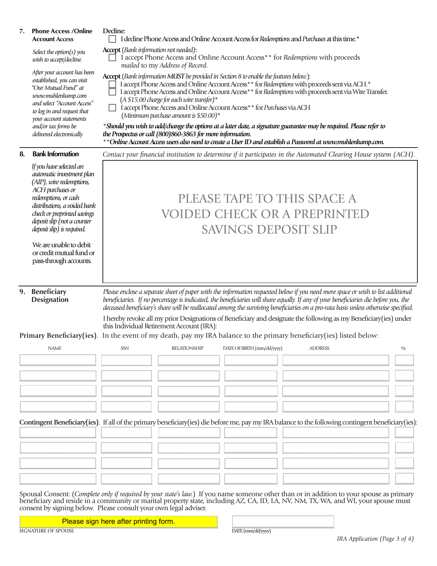| 7.                                                                                                                                                                | <b>Phone Access / Online</b><br><b>Account Access</b>                                                                                                                                                                                                    | Decline:<br>I decline Phone Access and Online Account Access for Redemptions and Purchases at this time.*                                                                                                                                                                                                                                                                                                                                                                                                                                                                                     |               |  |  |  |
|-------------------------------------------------------------------------------------------------------------------------------------------------------------------|----------------------------------------------------------------------------------------------------------------------------------------------------------------------------------------------------------------------------------------------------------|-----------------------------------------------------------------------------------------------------------------------------------------------------------------------------------------------------------------------------------------------------------------------------------------------------------------------------------------------------------------------------------------------------------------------------------------------------------------------------------------------------------------------------------------------------------------------------------------------|---------------|--|--|--|
|                                                                                                                                                                   | Select the option(s) you<br>wish to accept/decline.                                                                                                                                                                                                      | <b>Accept</b> (Bank information not needed):<br>I accept Phone Access and Online Account Access** for Redemptions with proceeds<br>mailed to my Address of Record.                                                                                                                                                                                                                                                                                                                                                                                                                            |               |  |  |  |
|                                                                                                                                                                   | After your account has been<br>established, you can visit<br>"Our Mutual Fund" at<br>www.muhlenkamp.com<br>and select "Account Access"<br>to log in and request that<br>your account statements<br>and/or tax forms be<br>delivered electronically.      | Accept (Bank information MUST be provided in Section 8 to enable the features below):<br>I accept Phone Access and Online Account Access** for Redemptions with proceeds sent via ACH.*<br>I accept Phone Access and Online Account Access** for Redemptions with proceeds sent via Wire Transfer.<br>$(A $15.00$ charge for each wire transfer)*<br>I accept Phone Access and Online Account Access** for Purchases via ACH<br>(Minimum purchase amount is $$50.00$ )*<br>*Should you wish to add/change the options at a later date, a signature guarantee may be required. Please refer to |               |  |  |  |
|                                                                                                                                                                   |                                                                                                                                                                                                                                                          | the Prospectus or call (800)860-3863 for more information.<br>** Online Account Access users also need to create a User ID and establish a Password at www.muhlenkamp.com.                                                                                                                                                                                                                                                                                                                                                                                                                    |               |  |  |  |
| 8.                                                                                                                                                                | <b>Bank Information</b>                                                                                                                                                                                                                                  | Contact your financial institution to determine if it participates in the Automated Clearing House system (ACH).                                                                                                                                                                                                                                                                                                                                                                                                                                                                              |               |  |  |  |
|                                                                                                                                                                   | If you have selected an<br>automatic investment plan<br>(AIP), wire redemptions,<br>ACH purchases or<br>redemptions, or cash<br>distributions, a voided bank<br>check or preprinted savings<br>deposit slip (not a counter<br>deposit slip) is required. | PLEASE TAPE TO THIS SPACE A<br><b>VOIDED CHECK OR A PREPRINTED</b><br><b>SAVINGS DEPOSIT SLIP</b>                                                                                                                                                                                                                                                                                                                                                                                                                                                                                             |               |  |  |  |
|                                                                                                                                                                   | We are unable to debit<br>or credit mutual fund or<br>pass-through accounts.                                                                                                                                                                             |                                                                                                                                                                                                                                                                                                                                                                                                                                                                                                                                                                                               |               |  |  |  |
|                                                                                                                                                                   | 9. Beneficiary<br><b>Designation</b>                                                                                                                                                                                                                     | Please enclose a separate sheet of paper with the information requested below if you need more space or wish to list additional<br>beneficiaries. If no percentage is indicated, the beneficiaries will share equally. If any of your beneficiaries die before you, the<br>deceased beneficiary's share will be reallocated among the surviving beneficiaries on a pro-rata basis unless otherwise specified.<br>I hereby revoke all my prior Designations of Beneficiary and designate the following as my Beneficiary(ies) under                                                            |               |  |  |  |
| this Individual Retirement Account (IRA):<br>Primary Beneficiary(ies). In the event of my death, pay my IRA balance to the primary beneficiary(ies) listed below: |                                                                                                                                                                                                                                                          |                                                                                                                                                                                                                                                                                                                                                                                                                                                                                                                                                                                               |               |  |  |  |
|                                                                                                                                                                   | <b>NAME</b>                                                                                                                                                                                                                                              | SSN<br>DATE OF BIRTH (mm/dd/yyyy)<br><b>RELATIONSHIP</b><br><b>ADDRESS</b>                                                                                                                                                                                                                                                                                                                                                                                                                                                                                                                    | $\frac{0}{0}$ |  |  |  |
|                                                                                                                                                                   |                                                                                                                                                                                                                                                          |                                                                                                                                                                                                                                                                                                                                                                                                                                                                                                                                                                                               |               |  |  |  |
|                                                                                                                                                                   |                                                                                                                                                                                                                                                          |                                                                                                                                                                                                                                                                                                                                                                                                                                                                                                                                                                                               |               |  |  |  |
|                                                                                                                                                                   |                                                                                                                                                                                                                                                          |                                                                                                                                                                                                                                                                                                                                                                                                                                                                                                                                                                                               |               |  |  |  |
|                                                                                                                                                                   |                                                                                                                                                                                                                                                          |                                                                                                                                                                                                                                                                                                                                                                                                                                                                                                                                                                                               |               |  |  |  |
|                                                                                                                                                                   |                                                                                                                                                                                                                                                          |                                                                                                                                                                                                                                                                                                                                                                                                                                                                                                                                                                                               |               |  |  |  |
| Contingent Beneficiary(ies). If all of the primary beneficiary(ies) die before me, pay my IRA balance to the following contingent beneficiary(ies):               |                                                                                                                                                                                                                                                          |                                                                                                                                                                                                                                                                                                                                                                                                                                                                                                                                                                                               |               |  |  |  |
|                                                                                                                                                                   |                                                                                                                                                                                                                                                          |                                                                                                                                                                                                                                                                                                                                                                                                                                                                                                                                                                                               |               |  |  |  |
|                                                                                                                                                                   |                                                                                                                                                                                                                                                          |                                                                                                                                                                                                                                                                                                                                                                                                                                                                                                                                                                                               |               |  |  |  |
|                                                                                                                                                                   |                                                                                                                                                                                                                                                          |                                                                                                                                                                                                                                                                                                                                                                                                                                                                                                                                                                                               |               |  |  |  |
|                                                                                                                                                                   |                                                                                                                                                                                                                                                          |                                                                                                                                                                                                                                                                                                                                                                                                                                                                                                                                                                                               |               |  |  |  |
|                                                                                                                                                                   |                                                                                                                                                                                                                                                          | Spousal Consent: (Complete only if required by your state's law.) If you name someone other than or in addition to your spouse as primary<br>beneficiary and reside in a community or marital property state, including AZ, CA, ID, LA, NV, NM, TX, WA, and WI, your spouse must                                                                                                                                                                                                                                                                                                              |               |  |  |  |
|                                                                                                                                                                   |                                                                                                                                                                                                                                                          | consent by signing below. Please consult your own legal adviser.                                                                                                                                                                                                                                                                                                                                                                                                                                                                                                                              |               |  |  |  |

**Example 20 Please sign here after printing form.** The same of the same printing form and the same of the same of the same of the same of the same of the same of the same of the same of the same of the same of the same of

SIGNATURE OF SPOUSE DATE (mm/dd/yyyy)